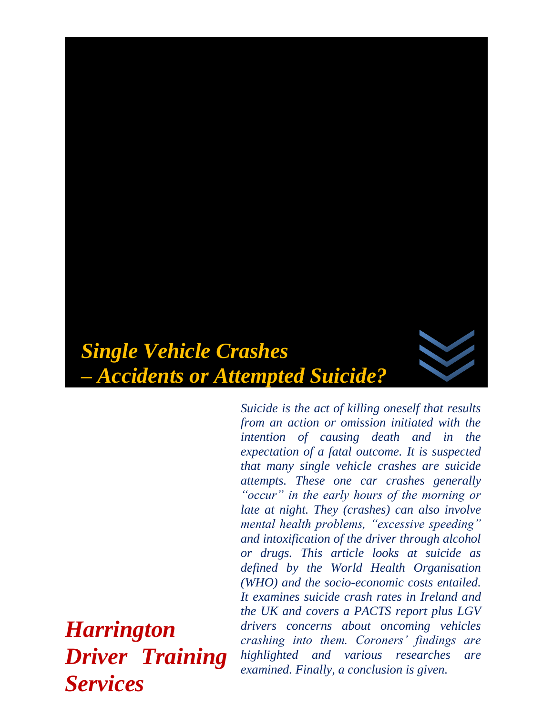

*Suicide is the act of killing oneself that results from an action or omission initiated with the intention of causing death and in the expectation of a fatal outcome. It is suspected that many single vehicle crashes are suicide attempts. These one car crashes generally "occur" in the early hours of the morning or late at night. They (crashes) can also involve mental health problems, "excessive speeding" and intoxification of the driver through alcohol or drugs. This article looks at suicide as defined by the World Health Organisation (WHO) and the socio-economic costs entailed. It examines suicide crash rates in Ireland and the UK and covers a PACTS report plus LGV drivers concerns about oncoming vehicles crashing into them. Coroners' findings are highlighted and various researches are examined. Finally, a conclusion is given.*

*Harrington Driver Training Services*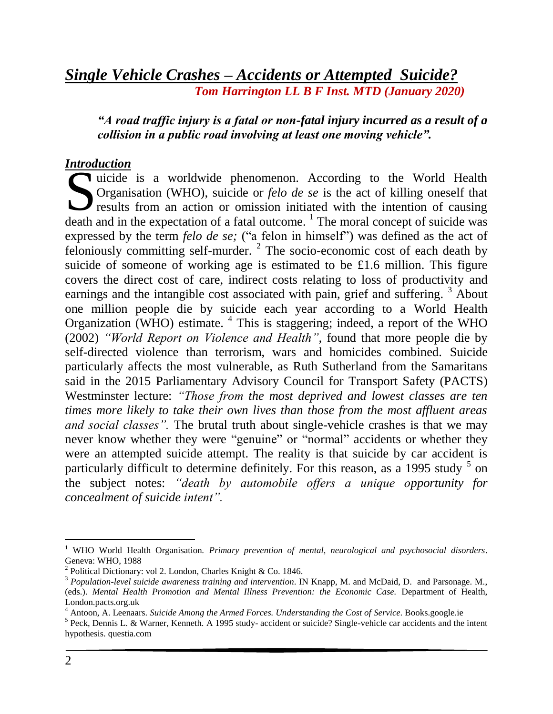# *Single Vehicle Crashes – Accidents or Attempted Suicide? Tom Harrington LL B F Inst. MTD (January 2020)*

### *"A road traffic injury is a fatal or non-fatal injury incurred as a result of a collision in a public road involving at least one moving vehicle".*

#### *Introduction*

uicide is a worldwide phenomenon. According to the World Health Organisation (WHO), suicide or *felo de se* is the act of killing oneself that results from an action or omission initiated with the intention of causing death and in the expectation of a fatal outcome.  $\frac{1}{1}$  The moral concept of suicide was expressed by the term *felo de se;* ("a felon in himself") was defined as the act of  $f_{\text{eloniously}}$  committing self-murder.<sup>2</sup> The socio-economic cost of each death by suicide of someone of working age is estimated to be £1.6 million. This figure covers the direct cost of care, indirect costs relating to loss of productivity and earnings and the intangible cost associated with pain, grief and suffering.  $3$  About one million people die by suicide each year according to a World Health Organization (WHO) estimate. <sup>4</sup> This is staggering; indeed, a report of the WHO (2002) *"World Report on Violence and Health",* found that more people die by self-directed violence than terrorism, wars and homicides combined. Suicide particularly affects the most vulnerable, as Ruth Sutherland from the Samaritans said in the 2015 Parliamentary Advisory Council for Transport Safety (PACTS) Westminster lecture: *"Those from the most deprived and lowest classes are ten times more likely to take their own lives than those from the most affluent areas and social classes".* The brutal truth about single-vehicle crashes is that we may never know whether they were "genuine" or "normal" accidents or whether they were an attempted suicide attempt. The reality is that suicide by car accident is particularly difficult to determine definitely. For this reason, as a 1995 study  $5$  on the subject notes: *"death by automobile offers a unique opportunity for concealment of suicide intent".* S<br>S

l

<sup>1</sup> WHO World Health Organisation*. Primary prevention of mental, neurological and psychosocial disorders*. Geneva: WHO, 1988

<sup>&</sup>lt;sup>2</sup> Political Dictionary: vol 2. London, Charles Knight & Co. 1846.

<sup>3</sup> *Population-level suicide awareness training and intervention*. IN Knapp, M. and McDaid, D. and Parsonage. M., (eds.). *Mental Health Promotion and Mental Illness Prevention: the Economic Case.* Department of Health, London.pacts.org.uk

<sup>4</sup> Antoon, A. Leenaars. *Suicide Among the Armed Forces. Understanding the Cost of Service*. Books.google.ie

<sup>&</sup>lt;sup>5</sup> Peck, Dennis L. & Warner, Kenneth. A 1995 study- accident or suicide? Single-vehicle car accidents and the intent hypothesis. questia.com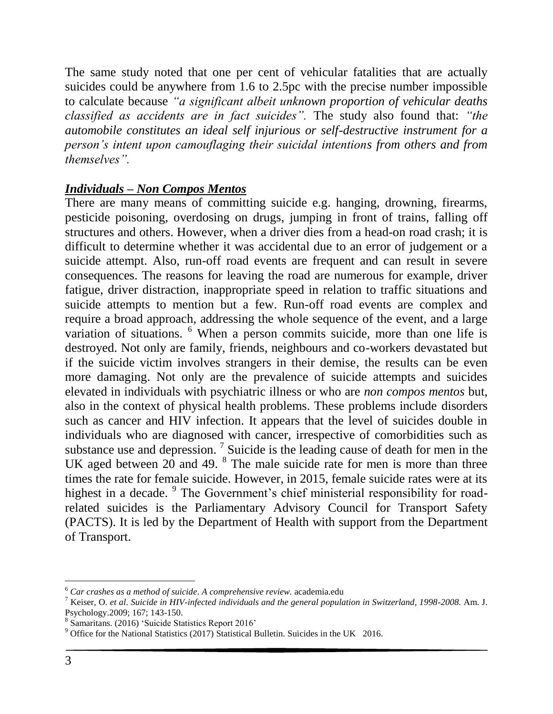The same study noted that one per cent of vehicular fatalities that are actually suicides could be anywhere from 1.6 to 2.5pc with the precise number impossible to calculate because *"a significant albeit unknown proportion of vehicular deaths classified as accidents are in fact suicides".* The study also found that: *"the automobile constitutes an ideal self injurious or self-destructive instrument for a person's intent upon camouflaging their suicidal intentions from others and from themselves".* 

# *Individuals – Non Compos Mentos*

There are many means of committing suicide e.g. hanging, drowning, firearms, pesticide poisoning, overdosing on drugs, jumping in front of trains, falling off structures and others. However, when a driver dies from a head-on road crash; it is difficult to determine whether it was accidental due to an error of judgement or a suicide attempt. Also, run-off road events are frequent and can result in severe consequences. The reasons for leaving the road are numerous for example, driver fatigue, driver distraction, inappropriate speed in relation to traffic situations and suicide attempts to mention but a few. Run-off road events are complex and require a broad approach, addressing the whole sequence of the event, and a large variation of situations. <sup>6</sup> When a person commits suicide, more than one life is destroyed. Not only are family, friends, neighbours and co-workers devastated but if the suicide victim involves strangers in their demise, the results can be even more damaging. Not only are the prevalence of suicide attempts and suicides elevated in individuals with psychiatric illness or who are *non compos mentos* but, also in the context of physical health problems. These problems include disorders such as cancer and HIV infection. It appears that the level of suicides double in individuals who are diagnosed with cancer, irrespective of comorbidities such as substance use and depression.<sup>7</sup> Suicide is the leading cause of death for men in the UK aged between  $20$  and 49. <sup>8</sup> The male suicide rate for men is more than three times the rate for female suicide. However, in 2015, female suicide rates were at its highest in a decade. <sup>9</sup> The Government's chief ministerial responsibility for roadrelated suicides is the Parliamentary Advisory Council for Transport Safety (PACTS). It is led by the Department of Health with support from the Department of Transport.

 $\overline{a}$ 

<sup>6</sup> *Car crashes as a method of suicide*. *A comprehensive review.* academia.edu

<sup>7</sup> Keiser, O. *et al*. *Suicide in HIV-infected individuals and the general population in Switzerland, 1998-2008.* Am. J. Psychology.2009; 167; 143-150.

<sup>8</sup> Samaritans. (2016) 'Suicide Statistics Report 2016'

<sup>9</sup> Office for the National Statistics (2017) Statistical Bulletin. Suicides in the UK 2016.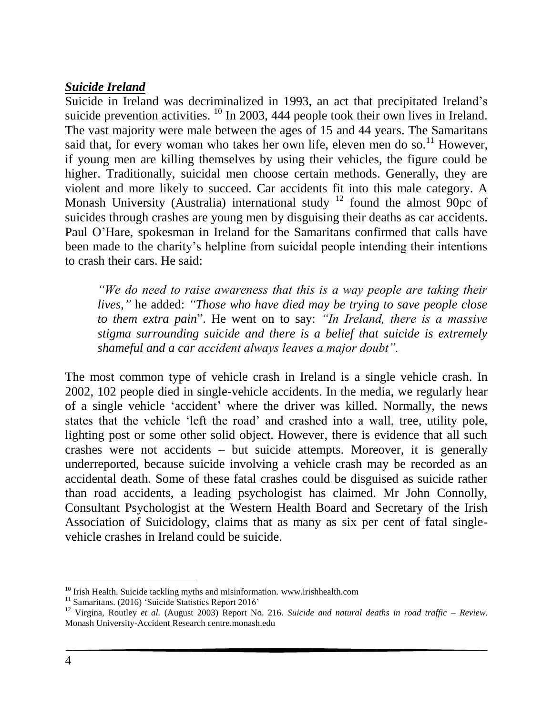### *Suicide Ireland*

Suicide in Ireland was decriminalized in 1993, an act that precipitated Ireland's suicide prevention activities.  $^{10}$  In 2003, 444 people took their own lives in Ireland. The vast majority were male between the ages of 15 and 44 years. The Samaritans said that, for every woman who takes her own life, eleven men do so.<sup>11</sup> However, if young men are killing themselves by using their vehicles, the figure could be higher. Traditionally, suicidal men choose certain methods. Generally, they are violent and more likely to succeed. Car accidents fit into this male category. A Monash University (Australia) international study  $12$  found the almost 90pc of suicides through crashes are young men by disguising their deaths as car accidents. Paul O'Hare, spokesman in Ireland for the Samaritans confirmed that calls have been made to the charity's helpline from suicidal people intending their intentions to crash their cars. He said:

*"We do need to raise awareness that this is a way people are taking their lives,"* he added: *"Those who have died may be trying to save people close to them extra pain*". He went on to say: *"In Ireland, there is a massive stigma surrounding suicide and there is a belief that suicide is extremely shameful and a car accident always leaves a major doubt".*

The most common type of vehicle crash in Ireland is a single vehicle crash. In 2002, 102 people died in single-vehicle accidents. In the media, we regularly hear of a single vehicle 'accident' where the driver was killed. Normally, the news states that the vehicle 'left the road' and crashed into a wall, tree, utility pole, lighting post or some other solid object. However, there is evidence that all such crashes were not accidents – but suicide attempts. Moreover, it is generally underreported, because suicide involving a vehicle crash may be recorded as an accidental death. Some of these fatal crashes could be disguised as suicide rather than road accidents, a leading psychologist has claimed. Mr John Connolly, Consultant Psychologist at the Western Health Board and Secretary of the Irish Association of Suicidology, claims that as many as six per cent of fatal singlevehicle crashes in Ireland could be suicide.

 $\overline{a}$  $10$  Irish Health. Suicide tackling myths and misinformation. www.irishhealth.com

<sup>&</sup>lt;sup>11</sup> Samaritans. (2016) 'Suicide Statistics Report 2016'

<sup>12</sup> Virgina, Routley *et al.* (August 2003) Report No. 216. *Suicide and natural deaths in road traffic – Review.* Monash University-Accident Research centre.monash.edu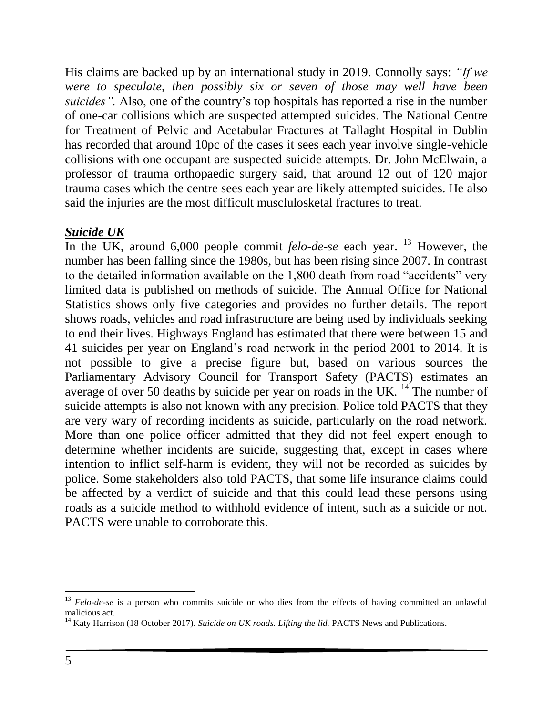His claims are backed up by an international study in 2019. Connolly says: *"If we were to speculate, then possibly six or seven of those may well have been suicides".* Also, one of the country's top hospitals has reported a rise in the number of one-car collisions which are suspected attempted suicides. The National Centre for Treatment of Pelvic and Acetabular Fractures at Tallaght Hospital in Dublin has recorded that around 10pc of the cases it sees each year involve single-vehicle collisions with one occupant are suspected suicide attempts. Dr. John McElwain, a professor of trauma orthopaedic surgery said, that around 12 out of 120 major trauma cases which the centre sees each year are likely attempted suicides. He also said the injuries are the most difficult musclulosketal fractures to treat.

### *Suicide UK*

In the UK, around 6,000 people commit *felo-de-se* each year. <sup>13</sup> However, the number has been falling since the 1980s, but has been rising since 2007. In contrast to the detailed information available on the 1,800 death from road "accidents" very limited data is published on methods of suicide. The Annual Office for National Statistics shows only five categories and provides no further details. The report shows roads, vehicles and road infrastructure are being used by individuals seeking to end their lives. Highways England has estimated that there were between 15 and 41 suicides per year on England's road network in the period 2001 to 2014. It is not possible to give a precise figure but, based on various sources the Parliamentary Advisory Council for Transport Safety (PACTS) estimates an average of over 50 deaths by suicide per year on roads in the UK.  $^{14}$  The number of suicide attempts is also not known with any precision. Police told PACTS that they are very wary of recording incidents as suicide, particularly on the road network. More than one police officer admitted that they did not feel expert enough to determine whether incidents are suicide, suggesting that, except in cases where intention to inflict self-harm is evident, they will not be recorded as suicides by police. Some stakeholders also told PACTS, that some life insurance claims could be affected by a verdict of suicide and that this could lead these persons using roads as a suicide method to withhold evidence of intent, such as a suicide or not. PACTS were unable to corroborate this.

 $\overline{a}$ 

<sup>&</sup>lt;sup>13</sup> *Felo-de-se* is a person who commits suicide or who dies from the effects of having committed an unlawful malicious act.

<sup>&</sup>lt;sup>14</sup> Katy Harrison (18 October 2017). *Suicide on UK roads. Lifting the lid.* PACTS News and Publications.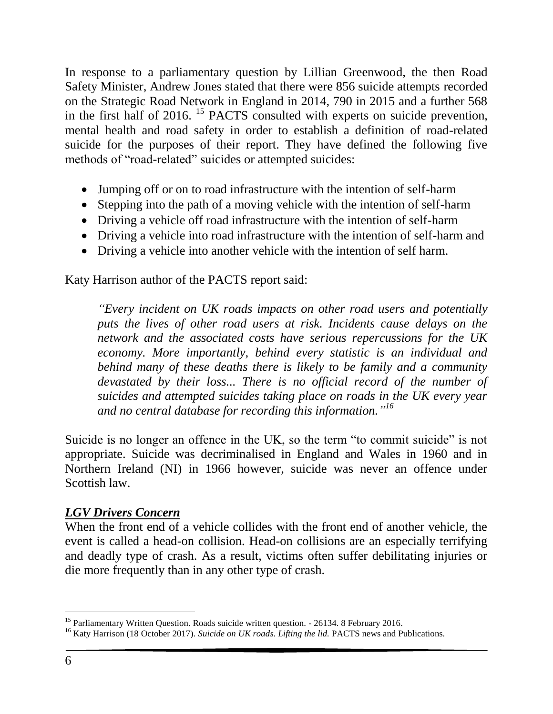In response to a parliamentary question by Lillian Greenwood, the then Road Safety Minister, Andrew Jones stated that there were 856 suicide attempts recorded on the Strategic Road Network in England in 2014, 790 in 2015 and a further 568 in the first half of 2016. <sup>15</sup> PACTS consulted with experts on suicide prevention, mental health and road safety in order to establish a definition of road-related suicide for the purposes of their report. They have defined the following five methods of "road-related" suicides or attempted suicides:

- Jumping off or on to road infrastructure with the intention of self-harm
- Stepping into the path of a moving vehicle with the intention of self-harm
- Driving a vehicle off road infrastructure with the intention of self-harm
- Driving a vehicle into road infrastructure with the intention of self-harm and
- Driving a vehicle into another vehicle with the intention of self harm.

Katy Harrison author of the PACTS report said:

*"Every incident on UK roads impacts on other road users and potentially puts the lives of other road users at risk. Incidents cause delays on the network and the associated costs have serious repercussions for the UK economy. More importantly, behind every statistic is an individual and behind many of these deaths there is likely to be family and a community*  devastated by their loss... There is no official record of the number of *suicides and attempted suicides taking place on roads in the UK every year and no central database for recording this information." 16*

Suicide is no longer an offence in the UK, so the term "to commit suicide" is not appropriate. Suicide was decriminalised in England and Wales in 1960 and in Northern Ireland (NI) in 1966 however, suicide was never an offence under Scottish law.

#### *LGV Drivers Concern*

When the front end of a vehicle collides with the front end of another vehicle, the event is called a head-on collision. Head-on collisions are an especially terrifying and deadly type of crash. As a result, victims often suffer debilitating injuries or die more frequently than in any other type of crash.

l <sup>15</sup> Parliamentary Written Question. Roads suicide written question. - 26134. 8 February 2016.

<sup>&</sup>lt;sup>16</sup> Katy Harrison (18 October 2017). *Suicide on UK roads. Lifting the lid*. PACTS news and Publications.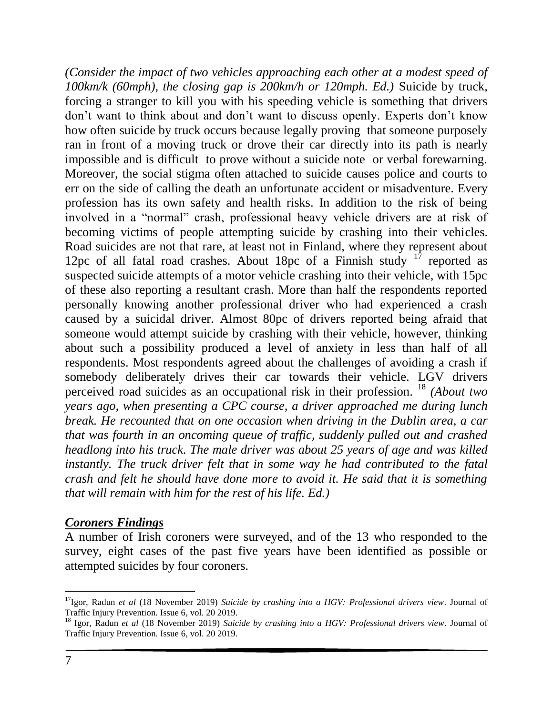*(Consider the impact of two vehicles approaching each other at a modest speed of 100km/k (60mph), the closing gap is 200km/h or 120mph. Ed.)* Suicide by truck, forcing a stranger to kill you with his speeding vehicle is something that drivers don't want to think about and don't want to discuss openly. Experts don't know how often suicide by truck occurs because legally proving that someone purposely ran in front of a moving truck or drove their car directly into its path is nearly impossible and is difficult to prove without a suicide note or verbal forewarning. Moreover, the social stigma often attached to suicide causes police and courts to err on the side of calling the death an unfortunate accident or misadventure. Every profession has its own safety and health risks. In addition to the risk of being involved in a "normal" crash, professional heavy vehicle drivers are at risk of becoming victims of people attempting suicide by crashing into their vehicles. Road suicides are not that rare, at least not in Finland, where they represent about 12pc of all fatal road crashes. About 18pc of a Finnish study  $17$  reported as suspected suicide attempts of a motor vehicle crashing into their vehicle, with 15pc of these also reporting a resultant crash. More than half the respondents reported personally knowing another professional driver who had experienced a crash caused by a suicidal driver. Almost 80pc of drivers reported being afraid that someone would attempt suicide by crashing with their vehicle, however, thinking about such a possibility produced a level of anxiety in less than half of all respondents. Most respondents agreed about the challenges of avoiding a crash if somebody deliberately drives their car towards their vehicle. LGV drivers perceived road suicides as an occupational risk in their profession. <sup>18</sup> *(About two years ago, when presenting a CPC course, a driver approached me during lunch break. He recounted that on one occasion when driving in the Dublin area, a car that was fourth in an oncoming queue of traffic, suddenly pulled out and crashed headlong into his truck. The male driver was about 25 years of age and was killed instantly. The truck driver felt that in some way he had contributed to the fatal crash and felt he should have done more to avoid it. He said that it is something that will remain with him for the rest of his life. Ed.)*

#### *Coroners Findings*

A number of Irish coroners were surveyed, and of the 13 who responded to the survey, eight cases of the past five years have been identified as possible or attempted suicides by four coroners.

 $\overline{a}$ 

<sup>17</sup>Igor, Radun *et al* (18 November 2019) *Suicide by crashing into a HGV: Professional drivers view*. Journal of Traffic Injury Prevention. Issue 6, vol. 20 2019.

<sup>18</sup> Igor, Radun *et al* (18 November 2019) *Suicide by crashing into a HGV: Professional drivers view*. Journal of Traffic Injury Prevention. Issue 6, vol. 20 2019.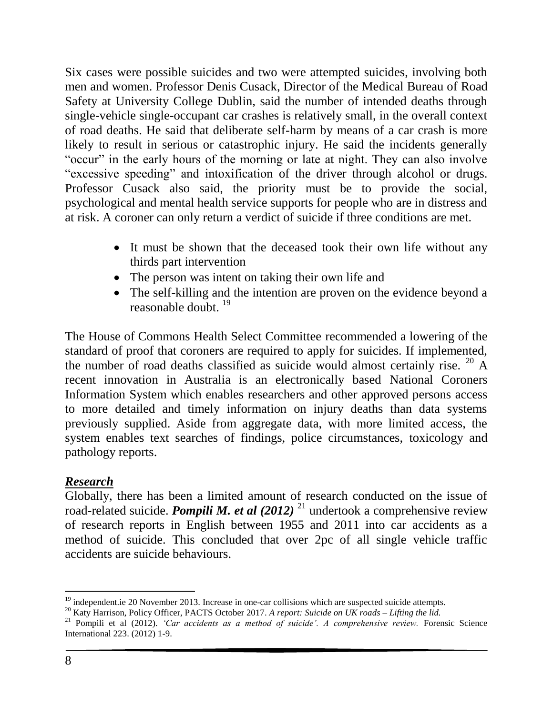Six cases were possible suicides and two were attempted suicides, involving both men and women. Professor Denis Cusack, Director of the Medical Bureau of Road Safety at University College Dublin, said the number of intended deaths through single-vehicle single-occupant car crashes is relatively small, in the overall context of road deaths. He said that deliberate self-harm by means of a car crash is more likely to result in serious or catastrophic injury. He said the incidents generally "occur" in the early hours of the morning or late at night. They can also involve "excessive speeding" and intoxification of the driver through alcohol or drugs. Professor Cusack also said, the priority must be to provide the social, psychological and mental health service supports for people who are in distress and at risk. A coroner can only return a verdict of suicide if three conditions are met.

- It must be shown that the deceased took their own life without any thirds part intervention
- The person was intent on taking their own life and
- The self-killing and the intention are proven on the evidence beyond a reasonable doubt.<sup>19</sup>

The House of Commons Health Select Committee recommended a lowering of the standard of proof that coroners are required to apply for suicides. If implemented, the number of road deaths classified as suicide would almost certainly rise. <sup>20</sup> A recent innovation in Australia is an electronically based National Coroners Information System which enables researchers and other approved persons access to more detailed and timely information on injury deaths than data systems previously supplied. Aside from aggregate data, with more limited access, the system enables text searches of findings, police circumstances, toxicology and pathology reports.

# *Research*

Globally, there has been a limited amount of research conducted on the issue of road-related suicide. *Pompili M. et al (2012)* <sup>21</sup> undertook a comprehensive review of research reports in English between 1955 and 2011 into car accidents as a method of suicide. This concluded that over 2pc of all single vehicle traffic accidents are suicide behaviours.

 $\overline{a}$  $19$  independent.ie 20 November 2013. Increase in one-car collisions which are suspected suicide attempts.

<sup>20</sup> Katy Harrison, Policy Officer, PACTS October 2017. *A report: Suicide on UK roads – Lifting the lid.*

<sup>21</sup> Pompili et al (2012). *'Car accidents as a method of suicide'. A comprehensive review.* Forensic Science International 223. (2012) 1-9.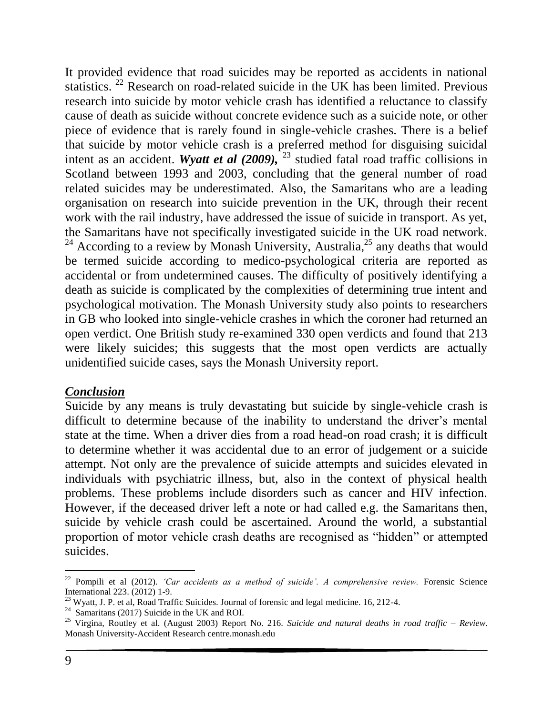It provided evidence that road suicides may be reported as accidents in national statistics. <sup>22</sup> Research on road-related suicide in the UK has been limited. Previous research into suicide by motor vehicle crash has identified a reluctance to classify cause of death as suicide without concrete evidence such as a suicide note, or other piece of evidence that is rarely found in single-vehicle crashes. There is a belief that suicide by motor vehicle crash is a preferred method for disguising suicidal intent as an accident. *Wyatt et al (2009)*, <sup>23</sup> studied fatal road traffic collisions in Scotland between 1993 and 2003, concluding that the general number of road related suicides may be underestimated. Also, the Samaritans who are a leading organisation on research into suicide prevention in the UK, through their recent work with the rail industry, have addressed the issue of suicide in transport. As yet, the Samaritans have not specifically investigated suicide in the UK road network. <sup>24</sup> According to a review by Monash University, Australia,<sup>25</sup> any deaths that would be termed suicide according to medico-psychological criteria are reported as accidental or from undetermined causes. The difficulty of positively identifying a death as suicide is complicated by the complexities of determining true intent and psychological motivation. The Monash University study also points to researchers in GB who looked into single-vehicle crashes in which the coroner had returned an open verdict. One British study re-examined 330 open verdicts and found that 213 were likely suicides; this suggests that the most open verdicts are actually unidentified suicide cases, says the Monash University report.

#### *Conclusion*

Suicide by any means is truly devastating but suicide by single-vehicle crash is difficult to determine because of the inability to understand the driver's mental state at the time. When a driver dies from a road head-on road crash; it is difficult to determine whether it was accidental due to an error of judgement or a suicide attempt. Not only are the prevalence of suicide attempts and suicides elevated in individuals with psychiatric illness, but, also in the context of physical health problems. These problems include disorders such as cancer and HIV infection. However, if the deceased driver left a note or had called e.g. the Samaritans then, suicide by vehicle crash could be ascertained. Around the world, a substantial proportion of motor vehicle crash deaths are recognised as "hidden" or attempted suicides.

l

<sup>22</sup> Pompili et al (2012). *'Car accidents as a method of suicide'. A comprehensive review.* Forensic Science International 223. (2012) 1-9.

<sup>&</sup>lt;sup>23</sup> Wyatt, J. P. et al, Road Traffic Suicides. Journal of forensic and legal medicine. 16, 212-4.

<sup>&</sup>lt;sup>24</sup> Samaritans (2017) Suicide in the UK and ROI.

<sup>25</sup> Virgina, Routley et al. (August 2003) Report No. 216. *Suicide and natural deaths in road traffic – Review.* Monash University-Accident Research centre.monash.edu